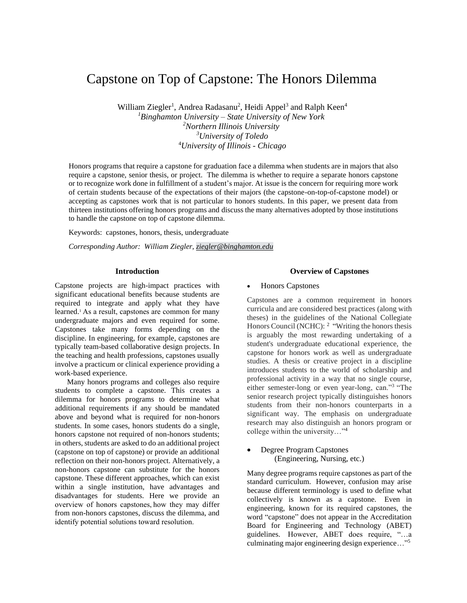# Capstone on Top of Capstone: The Honors Dilemma

William Ziegler<sup>1</sup>, Andrea Radasanu<sup>2</sup>, Heidi Appel<sup>3</sup> and Ralph Keen<sup>4</sup> *<sup>1</sup>Binghamton University – State University of New York*

*<sup>2</sup>Northern Illinois University <sup>3</sup>University of Toledo* <sup>4</sup>*University of Illinois - Chicago*

Honors programs that require a capstone for graduation face a dilemma when students are in majors that also require a capstone, senior thesis, or project. The dilemma is whether to require a separate honors capstone or to recognize work done in fulfillment of a student's major. At issue is the concern for requiring more work of certain students because of the expectations of their majors (the capstone-on-top-of-capstone model) or accepting as capstones work that is not particular to honors students. In this paper, we present data from thirteen institutions offering honors programs and discuss the many alternatives adopted by those institutions to handle the capstone on top of capstone dilemma.

Keywords:capstones, honors, thesis, undergraduate

*Corresponding Author: William Ziegler, [ziegler@binghamton.edu](mailto:ziegler@binghamton.edu)*

#### **Introduction**

Capstone projects are high-impact practices with significant educational benefits because students are required to integrate and apply what they have learned.<sup>1</sup>  As a result, capstones are common for many undergraduate majors and even required for some. Capstones take many forms depending on the discipline. In engineering, for example, capstones are typically team-based collaborative design projects. In the teaching and health professions, capstones usually involve a practicum or clinical experience providing a work-based experience.

 Many honors programs and colleges also require students to complete a capstone. This creates a dilemma for honors programs to determine what additional requirements if any should be mandated above and beyond what is required for non-honors students. In some cases, honors students do a single, honors capstone not required of non-honors students; in others, students are asked to do an additional project (capstone on top of capstone) or provide an additional reflection on their non-honors project. Alternatively, a non-honors capstone can substitute for the honors capstone. These different approaches, which can exist within a single institution, have advantages and disadvantages for students. Here we provide an overview of honors capstones, how they may differ from non-honors capstones, discuss the dilemma, and identify potential solutions toward resolution.  

## **Overview of Capstones**

## • Honors Capstones

Capstones are a common requirement in honors curricula and are considered best practices (along with theses) in the guidelines of the National Collegiate Honors Council (NCHC):  $2 \cdot \text{``Writing the honors thesis}$ is arguably the most rewarding undertaking of a student's undergraduate educational experience, the capstone for honors work as well as undergraduate studies. A thesis or creative project in a discipline introduces students to the world of scholarship and professional activity in a way that no single course, either semester-long or even year-long, can."<sup>3</sup> "The senior research project typically distinguishes honors students from their non-honors counterparts in a significant way. The emphasis on undergraduate research may also distinguish an honors program or college within the university…"<sup>4</sup>

## • Degree Program Capstones (Engineering, Nursing, etc.)

Many degree programs require capstones as part of the standard curriculum. However, confusion may arise because different terminology is used to define what collectively is known as a capstone. Even in engineering, known for its required capstones, the word "capstone" does not appear in the Accreditation Board for Engineering and Technology (ABET) guidelines. However, ABET does require, "…a culminating major engineering design experience…"5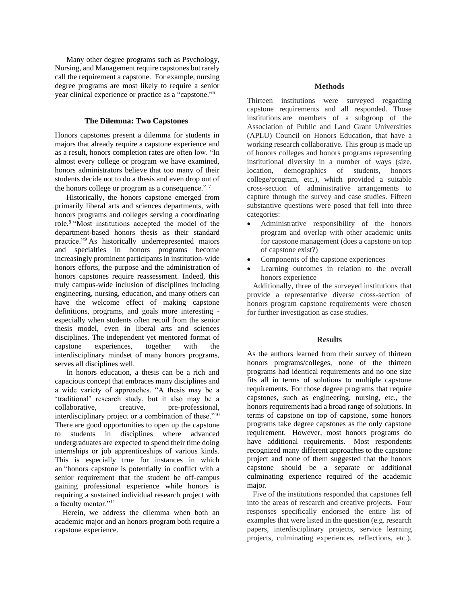Many other degree programs such as Psychology, Nursing, and Management require capstones but rarely call the requirement a capstone. For example, nursing degree programs are most likely to require a senior year clinical experience or practice as a "capstone." 6

## **The Dilemma: Two Capstones**

Honors capstones present a dilemma for students in majors that already require a capstone experience and as a result, honors completion rates are often low. "In almost every college or program we have examined, honors administrators believe that too many of their students decide not to do a thesis and even drop out of the honors college or program as a consequence."<sup>7</sup>

 Historically, the honors capstone emerged from primarily liberal arts and sciences departments, with honors programs and colleges serving a coordinating role. 8 "Most institutions accepted the model of the department-based honors thesis as their standard practice."<sup>9</sup> As historically underrepresented majors and specialties in honors programs become increasingly prominent participants in institution-wide honors efforts, the purpose and the administration of honors capstones require reassessment. Indeed, this truly campus-wide inclusion of disciplines including engineering, nursing, education, and many others can have the welcome effect of making capstone definitions, programs, and goals more interesting especially when students often recoil from the senior thesis model, even in liberal arts and sciences disciplines. The independent yet mentored format of capstone experiences, together with the interdisciplinary mindset of many honors programs, serves all disciplines well.

 In honors education, a thesis can be a rich and capacious concept that embraces many disciplines and a wide variety of approaches. "A thesis may be a 'traditional' research study, but it also may be a collaborative, creative, pre-professional, interdisciplinary project or a combination of these."<sup>10</sup> There are good opportunities to open up the capstone to students in disciplines where advanced undergraduates are expected to spend their time doing internships or job apprenticeships of various kinds. This is especially true for instances in which an "honors capstone is potentially in conflict with a senior requirement that the student be off-campus gaining professional experience while honors is requiring a sustained individual research project with a faculty mentor."<sup>11</sup>

 Herein, we address the dilemma when both an academic major and an honors program both require a capstone experience.

#### **Methods**

Thirteen institutions were surveyed regarding capstone requirements and all responded. Those institutions are members of a subgroup of the Association of Public and Land Grant Universities (APLU) Council on Honors Education, that have a working research collaborative. This group is made up of honors colleges and honors programs representing institutional diversity in a number of ways (size, location, demographics of students, honors college/program, etc.), which provided a suitable cross-section of administrative arrangements to capture through the survey and case studies. Fifteen substantive questions were posed that fell into three categories:

- Administrative responsibility of the honors program and overlap with other academic units for capstone management (does a capstone on top of capstone exist?)
- Components of the capstone experiences
- Learning outcomes in relation to the overall honors experience

 Additionally, three of the surveyed institutions that provide a representative diverse cross-section of honors program capstone requirements were chosen for further investigation as case studies.

## **Results**

As the authors learned from their survey of thirteen honors programs/colleges, none of the thirteen programs had identical requirements and no one size fits all in terms of solutions to multiple capstone requirements. For those degree programs that require capstones, such as engineering, nursing, etc., the honors requirements had a broad range of solutions. In terms of capstone on top of capstone, some honors programs take degree capstones as the only capstone requirement. However, most honors programs do have additional requirements. Most respondents recognized many different approaches to the capstone project and none of them suggested that the honors capstone should be a separate or additional culminating experience required of the academic major.

 Five of the institutions responded that capstones fell into the areas of research and creative projects. Four responses specifically endorsed the entire list of examples that were listed in the question (e.g. research papers, interdisciplinary projects, service learning projects, culminating experiences, reflections, etc.).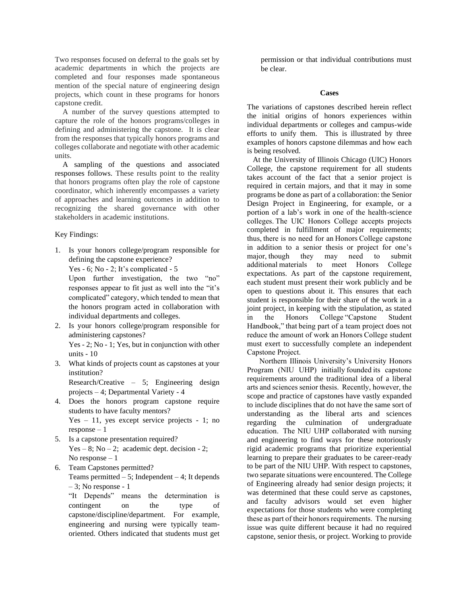Two responses focused on deferral to the goals set by academic departments in which the projects are completed and four responses made spontaneous mention of the special nature of engineering design projects, which count in these programs for honors capstone credit.

 A number of the survey questions attempted to capture the role of the honors programs/colleges in defining and administering the capstone. It is clear from the responses that typically honors programs and colleges collaborate and negotiate with other academic units.

 A sampling of the questions and associated responses follows. These results point to the reality that honors programs often play the role of capstone coordinator, which inherently encompasses a variety of approaches and learning outcomes in addition to recognizing the shared governance with other stakeholders in academic institutions.

## Key Findings:

1. Is your honors college/program responsible for defining the capstone experience? Yes - 6; No - 2; It's complicated -  $5$ Upon further investigation, the two "no" responses appear to fit just as well into the "it's

complicated" category, which tended to mean that the honors program acted in collaboration with individual departments and colleges.

2. Is your honors college/program responsible for administering capstones?

Yes - 2; No - 1; Yes, but in conjunction with other units - 10

3. What kinds of projects count as capstones at your institution?

Research/Creative – 5; Engineering design projects – 4; Departmental Variety - 4

- 4. Does the honors program capstone require students to have faculty mentors? Yes – 11, yes except service projects - 1; no
- $response 1$ 5. Is a capstone presentation required?

Yes – 8; No – 2; academic dept. decision - 2; No response  $-1$ 

6. Team Capstones permitted?

Teams permitted  $-5$ ; Independent  $-4$ ; It depends  $-3$ ; No response - 1

"It Depends" means the determination is contingent on the type of capstone/discipline/department. For example, engineering and nursing were typically teamoriented. Others indicated that students must get

permission or that individual contributions must be clear.

#### **Cases**

The variations of capstones described herein reflect the initial origins of honors experiences within individual departments or colleges and campus-wide efforts to unify them. This is illustrated by three examples of honors capstone dilemmas and how each is being resolved.

 At the University of Illinois Chicago (UIC) Honors College, the capstone requirement for all students takes account of the fact that a senior project is required in certain majors, and that it may in some programs be done as part of a collaboration: the Senior Design Project in Engineering, for example, or a portion of a lab's work in one of the health-science colleges. The UIC Honors College accepts projects completed in fulfillment of major requirements; thus, there is no need for an Honors College capstone in addition to a senior thesis or project for one's major, though they may need to submit additional materials to meet Honors College expectations. As part of the capstone requirement, each student must present their work publicly and be open to questions about it. This ensures that each student is responsible for their share of the work in a joint project, in keeping with the stipulation, as stated in the Honors College "Capstone Student Handbook," that being part of a team project does not reduce the amount of work an Honors College student must exert to successfully complete an independent Capstone Project. 

 Northern Illinois University's University Honors Program (NIU UHP) initially founded its capstone requirements around the traditional idea of a liberal arts and sciences senior thesis.  Recently, however, the scope and practice of capstones have vastly expanded to include disciplines that do not have the same sort of understanding as the liberal arts and sciences regarding the culmination of undergraduate education.  The NIU UHP collaborated with nursing and engineering to find ways for these notoriously rigid academic programs that prioritize experiential learning to prepare their graduates to be career-ready to be part of the NIU UHP. With respect to capstones, two separate situations were encountered. The College of Engineering already had senior design projects; it was determined that these could serve as capstones, and faculty advisors would set even higher expectations for those students who were completing these as part of their honors requirements.  The nursing issue was quite different because it had no required capstone, senior thesis, or project. Working to provide